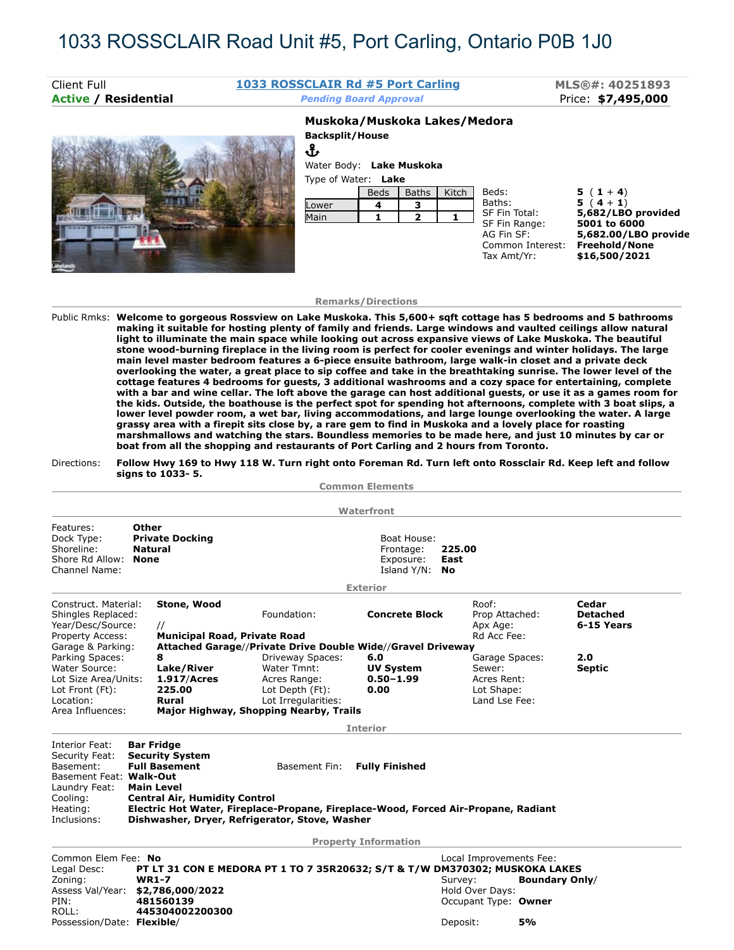# 1033 ROSSCLAIR Road Unit #5, Port Carling, Ontario P0B 1J0

| Client Full<br><b>Active / Residential</b> | 1033 ROSSCLAIR Rd #5 Port Carling<br><b>Pending Board Approval</b> |                              |       | MLS®#: 40251893<br>Price: \$7,495,000 |               |                    |  |
|--------------------------------------------|--------------------------------------------------------------------|------------------------------|-------|---------------------------------------|---------------|--------------------|--|
|                                            |                                                                    | Muskoka/Muskoka Lakes/Medora |       |                                       |               |                    |  |
|                                            |                                                                    | <b>Backsplit/House</b>       |       |                                       |               |                    |  |
|                                            | Ֆ                                                                  |                              |       |                                       |               |                    |  |
|                                            | Water Body: Lake Muskoka                                           |                              |       |                                       |               |                    |  |
|                                            |                                                                    | Type of Water: Lake          |       |                                       |               |                    |  |
|                                            |                                                                    | <b>Beds</b>                  | Baths | Kitch                                 | Beds:         | $5(1+4)$           |  |
|                                            | Lower                                                              | 4                            |       |                                       | Baths:        | $5(4+1)$           |  |
|                                            | Main                                                               |                              |       |                                       | SF Fin Total: | 5,682/LBO provided |  |
|                                            |                                                                    |                              |       |                                       | SF Fin Range: | 5001 to 6000       |  |

## **Remarks/Directions**

AG Fin SF: **5,682.00/LBO provide** Common Interest: **Freehold/None** Tax Amt/Yr: **\$16,500/2021**

Public Rmks: **Welcome to gorgeous Rossview on Lake Muskoka. This 5,600+ sqft cottage has 5 bedrooms and 5 bathrooms making it suitable for hosting plenty of family and friends. Large windows and vaulted ceilings allow natural light to illuminate the main space while looking out across expansive views of Lake Muskoka. The beautiful stone wood-burning fireplace in the living room is perfect for cooler evenings and winter holidays. The large main level master bedroom features a 6-piece ensuite bathroom, large walk-in closet and a private deck overlooking the water, a great place to sip coffee and take in the breathtaking sunrise. The lower level of the cottage features 4 bedrooms for guests, 3 additional washrooms and a cozy space for entertaining, complete with a bar and wine cellar. The loft above the garage can host additional guests, or use it as a games room for the kids. Outside, the boathouse is the perfect spot for spending hot afternoons, complete with 3 boat slips, a lower level powder room, a wet bar, living accommodations, and large lounge overlooking the water. A large grassy area with a firepit sits close by, a rare gem to find in Muskoka and a lovely place for roasting marshmallows and watching the stars. Boundless memories to be made here, and just 10 minutes by car or boat from all the shopping and restaurants of Port Carling and 2 hours from Toronto.**

## Directions: **Follow Hwy 169 to Hwy 118 W. Turn right onto Foreman Rd. Turn left onto Rossclair Rd. Keep left and follow signs to 1033- 5.**

|                                                                           |                                                                                                                                               |                                              |                                                                                    | <b>Common Elements</b>      |                                     |                       |                                        |
|---------------------------------------------------------------------------|-----------------------------------------------------------------------------------------------------------------------------------------------|----------------------------------------------|------------------------------------------------------------------------------------|-----------------------------|-------------------------------------|-----------------------|----------------------------------------|
|                                                                           |                                                                                                                                               |                                              |                                                                                    | Waterfront                  |                                     |                       |                                        |
|                                                                           |                                                                                                                                               |                                              |                                                                                    |                             |                                     |                       |                                        |
| Features:<br>Dock Type:<br>Shoreline:<br>Shore Rd Allow:<br>Channel Name: | Other<br><b>Private Docking</b><br>Boat House:<br><b>Natural</b><br>225.00<br>Frontage:<br><b>None</b><br>East<br>Exposure:<br>Island Y/N: No |                                              |                                                                                    |                             |                                     |                       |                                        |
|                                                                           |                                                                                                                                               |                                              |                                                                                    |                             |                                     |                       |                                        |
|                                                                           |                                                                                                                                               |                                              |                                                                                    | <b>Exterior</b>             |                                     |                       |                                        |
| Construct. Material:<br>Shingles Replaced:<br>Year/Desc/Source:           |                                                                                                                                               | Stone, Wood<br>Foundation:<br>$\prime\prime$ |                                                                                    | <b>Concrete Block</b>       | Roof:<br>Prop Attached:<br>Apx Age: |                       | Cedar<br><b>Detached</b><br>6-15 Years |
| Property Access:                                                          |                                                                                                                                               | <b>Municipal Road, Private Road</b>          |                                                                                    |                             | Rd Acc Fee:                         |                       |                                        |
| Garage & Parking:                                                         |                                                                                                                                               |                                              | Attached Garage//Private Drive Double Wide//Gravel Driveway                        |                             |                                     |                       | 2.0                                    |
| Parking Spaces:<br>Water Source:                                          |                                                                                                                                               | 8<br>Lake/River                              | Driveway Spaces:<br>Water Tmnt:                                                    | 6.0<br><b>UV System</b>     | Garage Spaces:<br>Sewer:            |                       | <b>Septic</b>                          |
| Lot Size Area/Units:                                                      |                                                                                                                                               | 1.917/Acres                                  | Acres Range:                                                                       | $0.50 - 1.99$               | Acres Rent:                         |                       |                                        |
| Lot Front (Ft):                                                           |                                                                                                                                               | 225.00                                       | Lot Depth (Ft):                                                                    | 0.00                        | Lot Shape:                          |                       |                                        |
| Location:                                                                 |                                                                                                                                               | <b>Rural</b>                                 | Lot Irregularities:                                                                |                             | Land Lse Fee:                       |                       |                                        |
| Area Influences:                                                          |                                                                                                                                               |                                              | Major Highway, Shopping Nearby, Trails                                             |                             |                                     |                       |                                        |
|                                                                           |                                                                                                                                               |                                              |                                                                                    | <b>Interior</b>             |                                     |                       |                                        |
| Interior Feat:                                                            | <b>Bar Fridge</b>                                                                                                                             |                                              |                                                                                    |                             |                                     |                       |                                        |
| Security Feat:                                                            |                                                                                                                                               | <b>Security System</b>                       |                                                                                    |                             |                                     |                       |                                        |
| Basement:                                                                 |                                                                                                                                               | <b>Full Basement</b>                         | <b>Basement Fin:</b>                                                               | <b>Fully Finished</b>       |                                     |                       |                                        |
| Basement Feat: Walk-Out                                                   |                                                                                                                                               |                                              |                                                                                    |                             |                                     |                       |                                        |
| Laundry Feat:                                                             |                                                                                                                                               | <b>Main Level</b>                            |                                                                                    |                             |                                     |                       |                                        |
| Cooling:                                                                  |                                                                                                                                               | <b>Central Air, Humidity Control</b>         |                                                                                    |                             |                                     |                       |                                        |
| Heating:                                                                  |                                                                                                                                               |                                              | Electric Hot Water, Fireplace-Propane, Fireplace-Wood, Forced Air-Propane, Radiant |                             |                                     |                       |                                        |
| Inclusions:                                                               |                                                                                                                                               |                                              | Dishwasher, Dryer, Refrigerator, Stove, Washer                                     |                             |                                     |                       |                                        |
|                                                                           |                                                                                                                                               |                                              |                                                                                    | <b>Property Information</b> |                                     |                       |                                        |
| Common Elem Fee: No                                                       |                                                                                                                                               |                                              |                                                                                    |                             | Local Improvements Fee:             |                       |                                        |
| Legal Desc:                                                               |                                                                                                                                               |                                              | PT LT 31 CON E MEDORA PT 1 TO 7 35R20632; S/T & T/W DM370302; MUSKOKA LAKES        |                             |                                     |                       |                                        |
| Zoning:                                                                   | <b>WR1-7</b>                                                                                                                                  |                                              |                                                                                    |                             | Survey:                             | <b>Boundary Only/</b> |                                        |
| Assess Val/Year: \$2,786,000/2022                                         |                                                                                                                                               |                                              |                                                                                    |                             | Hold Over Days:                     |                       |                                        |
| PIN:                                                                      |                                                                                                                                               | 481560139                                    |                                                                                    |                             | Occupant Type: Owner                |                       |                                        |
| ROLL:                                                                     |                                                                                                                                               | 445304002200300                              |                                                                                    |                             |                                     |                       |                                        |
| Possession/Date: Flexible/                                                |                                                                                                                                               |                                              |                                                                                    |                             | Deposit:                            | 5%                    |                                        |